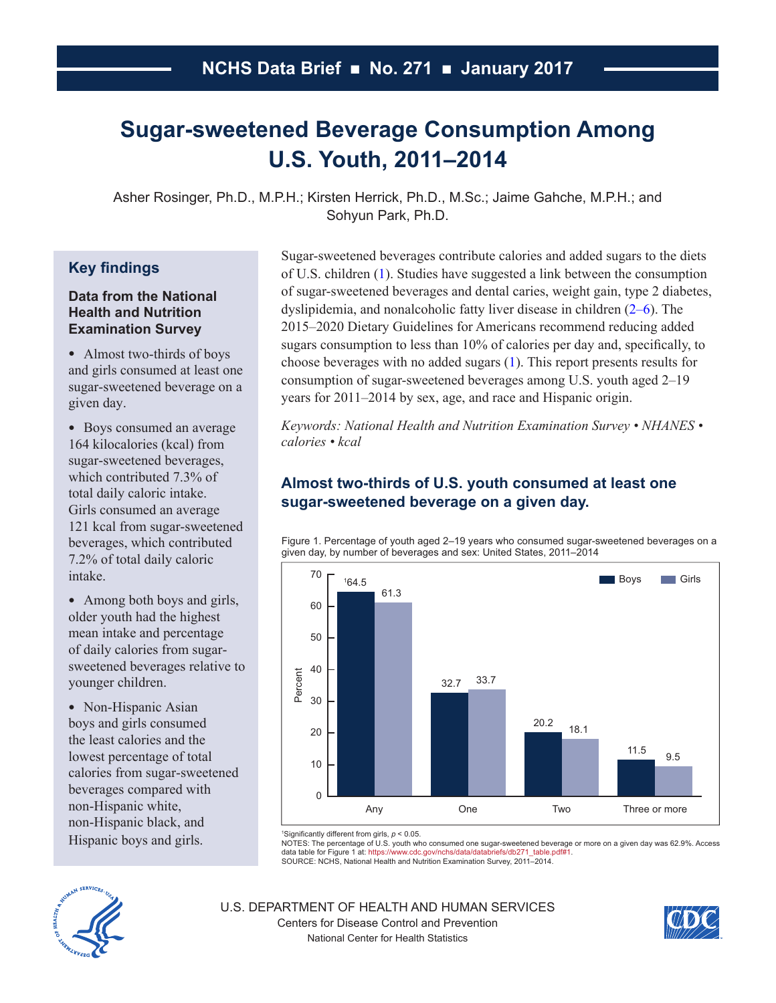# <span id="page-0-0"></span>**Sugar-sweetened Beverage Consumption Among U.S. Youth, 2011–2014**

Asher Rosinger, Ph.D., M.P.H.; Kirsten Herrick, Ph.D., M.Sc.; Jaime Gahche, M.P.H.; and Sohyun Park, Ph.D.

# **Key findings**

## **Data from the National Health and Nutrition Examination Survey**

• Almost two-thirds of boys and girls consumed at least one sugar-sweetened beverage on a given day.

• Boys consumed an average 164 kilocalories (kcal) from sugar-sweetened beverages, which contributed 7.3% of total daily caloric intake. Girls consumed an average 121 kcal from sugar-sweetened beverages, which contributed 7.2% of total daily caloric intake.

• Among both boys and girls, older youth had the highest mean intake and percentage of daily calories from sugarsweetened beverages relative to younger children.

• Non-Hispanic Asian boys and girls consumed the least calories and the lowest percentage of total calories from sugar-sweetened beverages compared with non-Hispanic white, non-Hispanic black, and Hispanic boys and girls.

Sugar-sweetened beverages contribute calories and added sugars to the diets of U.S. children [\(1\)](#page-6-0). Studies have suggested a link between the consumption of sugar-sweetened beverages and dental caries, weight gain, type 2 diabetes, dyslipidemia, and nonalcoholic fatty liver disease in children [\(2–6\)](#page-6-0). The 2015–2020 Dietary Guidelines for Americans recommend reducing added sugars consumption to less than 10% of calories per day and, specifically, to choose beverages with no added sugars [\(1\)](#page-6-0). This report presents results for consumption of sugar-sweetened beverages among U.S. youth aged 2–19 years for 2011–2014 by sex, age, and race and Hispanic origin.

*Keywords: National Health and Nutrition Examination Survey • NHANES • calories • kcal*

## **Almost two-thirds of U.S. youth consumed at least one sugar-sweetened beverage on a given day.**

Figure 1. Percentage of youth aged 2–19 years who consumed sugar-sweetened beverages on a given day, by number of beverages and sex: United States, 2011–2014



1 Significantly different from girls, *p* < 0.05.

NOTES: The percentage of U.S. youth who consumed one sugar-sweetened beverage or more on a given day was 62.9%. Access<br>data table for Figure 1 at[: https://www.cdc.gov/nchs/data/databriefs/db271\\_table.pdf#1](https://www.cdc.gov/nchs/data/databriefs/db271_table.pdf#1).

SOURCE: NCHS, National Health and Nutrition Examination Survey, 2011–2014.



U.S. DEPARTMENT OF HEALTH AND HUMAN SERVICES Centers for Disease Control and Prevention National Center for Health Statistics

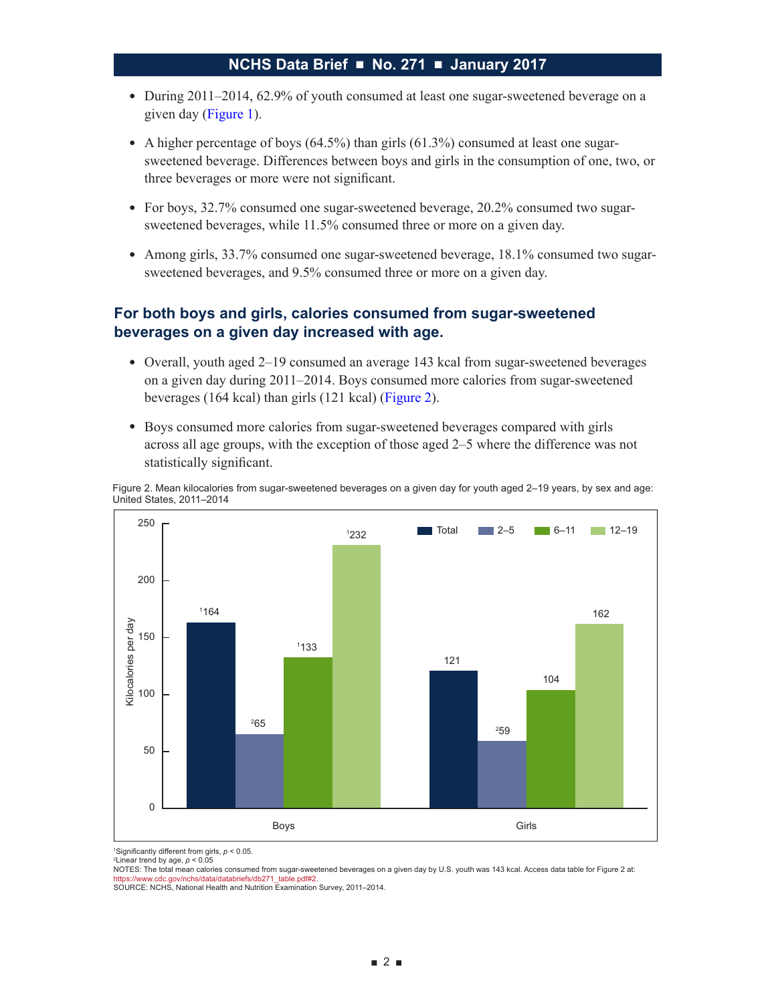- During 2011–2014, 62.9% of youth consumed at least one sugar-sweetened beverage on a given day [\(Figure 1\)](#page-0-0).
- A higher percentage of boys  $(64.5%)$  than girls  $(61.3%)$  consumed at least one sugarsweetened beverage. Differences between boys and girls in the consumption of one, two, or three beverages or more were not significant.
- For boys, 32.7% consumed one sugar-sweetened beverage, 20.2% consumed two sugarsweetened beverages, while 11.5% consumed three or more on a given day.
- Among girls, 33.7% consumed one sugar-sweetened beverage, 18.1% consumed two sugarsweetened beverages, and 9.5% consumed three or more on a given day.

## **For both boys and girls, calories consumed from sugar-sweetened beverages on a given day increased with age.**

- Overall, youth aged 2–19 consumed an average 143 kcal from sugar-sweetened beverages on a given day during 2011–2014. Boys consumed more calories from sugar-sweetened beverages (164 kcal) than girls (121 kcal) (Figure 2).
- Boys consumed more calories from sugar-sweetened beverages compared with girls across all age groups, with the exception of those aged 2–5 where the difference was not statistically significant.

Figure 2. Mean kilocalories from sugar-sweetened beverages on a given day for youth aged 2–19 years, by sex and age: United States, 2011–2014



<sup>1</sup>Significantly different from girls,  $p < 0.05$ .<br><sup>2</sup>Linear trend by age  $p < 0.05$ 

<sup>2</sup> Linear trend by age,  $p < 0.05$ 

NOTES: The total mean calories consumed from sugar-sweetened beverages on a given day by U.S. youth was 143 kcal. Access data table for Figure 2 at: [https://www.cdc.gov/nchs/data/databriefs/db271\\_table.pdf#2.](https://www.cdc.gov/nchs/data/databriefs/db271_table.pdf#2)

SOURCE: NCHS, National Health and Nutrition Examination Survey, 2011–2014.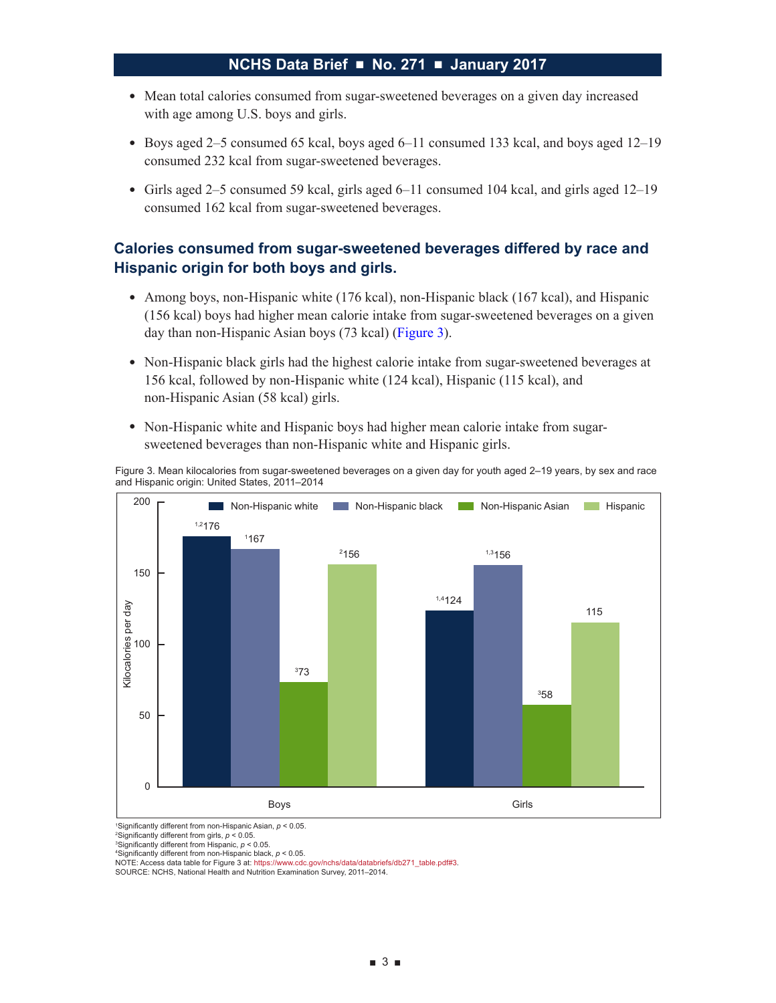- Mean total calories consumed from sugar-sweetened beverages on a given day increased with age among U.S. boys and girls.
- Boys aged 2–5 consumed 65 kcal, boys aged 6–11 consumed 133 kcal, and boys aged 12–19 consumed 232 kcal from sugar-sweetened beverages.
- Girls aged 2–5 consumed 59 kcal, girls aged 6–11 consumed 104 kcal, and girls aged 12–19 consumed 162 kcal from sugar-sweetened beverages.

## **Calories consumed from sugar-sweetened beverages differed by race and Hispanic origin for both boys and girls.**

- Among boys, non-Hispanic white (176 kcal), non-Hispanic black (167 kcal), and Hispanic (156 kcal) boys had higher mean calorie intake from sugar-sweetened beverages on a given day than non-Hispanic Asian boys (73 kcal) (Figure 3).
- Non-Hispanic black girls had the highest calorie intake from sugar-sweetened beverages at 156 kcal, followed by non-Hispanic white (124 kcal), Hispanic (115 kcal), and non-Hispanic Asian (58 kcal) girls.
- Non-Hispanic white and Hispanic boys had higher mean calorie intake from sugarsweetened beverages than non-Hispanic white and Hispanic girls.

Figure 3. Mean kilocalories from sugar-sweetened beverages on a given day for youth aged 2–19 years, by sex and race and Hispanic origin: United States, 2011–2014



1 Significantly different from non-Hispanic Asian, *p* < 0.05.

2 Significantly different from girls, *p* < 0.05.

3 Significantly different from Hispanic, *p* < 0.05.

4 Significantly different from non-Hispanic black, *p* < 0.05. NOTE: Access data table for Figure 3 at[: https://www.cdc.gov/nchs/data/databriefs/db271\\_table.pdf#3](https://www.cdc.gov/nchs/data/databriefs/db271_table.pdf#3).

SOURCE: NCHS, National Health and Nutrition Examination Survey, 2011–2014.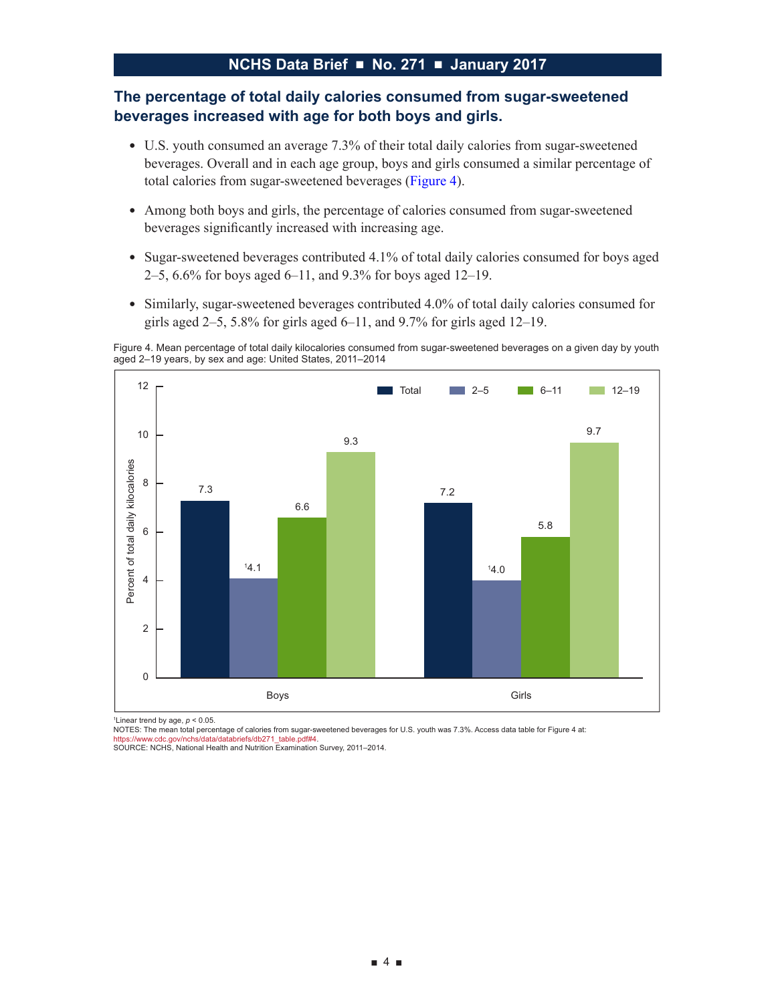## **The percentage of total daily calories consumed from sugar-sweetened beverages increased with age for both boys and girls.**

- U.S. youth consumed an average 7.3% of their total daily calories from sugar-sweetened beverages. Overall and in each age group, boys and girls consumed a similar percentage of total calories from sugar-sweetened beverages (Figure 4).
- Among both boys and girls, the percentage of calories consumed from sugar-sweetened beverages significantly increased with increasing age.
- Sugar-sweetened beverages contributed 4.1% of total daily calories consumed for boys aged 2–5, 6.6% for boys aged 6–11, and 9.3% for boys aged 12–19.
- Similarly, sugar-sweetened beverages contributed 4.0% of total daily calories consumed for girls aged  $2-5$ ,  $5.8\%$  for girls aged  $6-11$ , and  $9.7\%$  for girls aged  $12-19$ .

Figure 4. Mean percentage of total daily kilocalories consumed from sugar-sweetened beverages on a given day by youth aged 2–19 years, by sex and age: United States, 2011–2014



1 Linear trend by age, *p* < 0.05.

NOTES: The mean total percentage of calories from sugar-sweetened beverages for U.S. youth was 7.3%. Access data table for Figure 4 at: [https://www.cdc.gov/nchs/data/databriefs/db271\\_table.pdf#4.](https://www.cdc.gov/nchs/data/databriefs/db271_table.pdf#4)

SOURCE: NCHS, National Health and Nutrition Examination Survey, 2011–2014.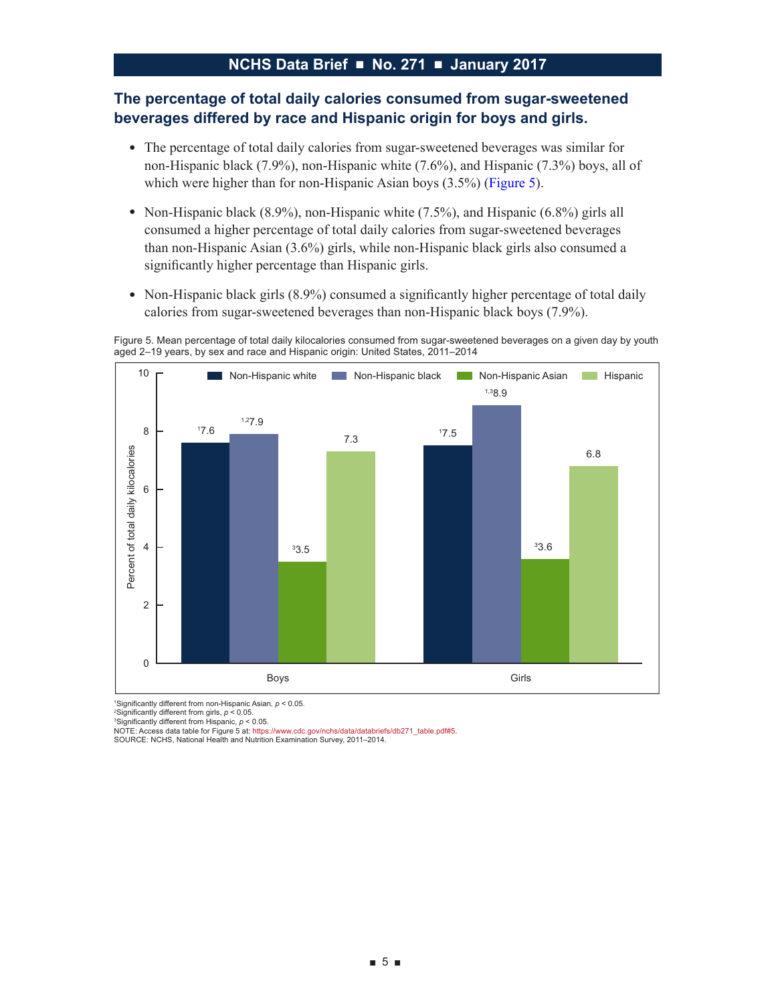## **The percentage of total daily calories consumed from sugar-sweetened beverages differed by race and Hispanic origin for boys and girls.**

- The percentage of total daily calories from sugar-sweetened beverages was similar for non-Hispanic black (7.9%), non-Hispanic white (7.6%), and Hispanic (7.3%) boys, all of which were higher than for non-Hispanic Asian boys (3.5%) (Figure 5).
- Non-Hispanic black  $(8.9\%)$ , non-Hispanic white  $(7.5\%)$ , and Hispanic  $(6.8\%)$  girls all consumed a higher percentage of total daily calories from sugar-sweetened beverages than non-Hispanic Asian (3.6%) girls, while non-Hispanic black girls also consumed a significantly higher percentage than Hispanic girls.
- Non-Hispanic black girls (8.9%) consumed a significantly higher percentage of total daily calories from sugar-sweetened beverages than non-Hispanic black boys (7.9%).

Figure 5. Mean percentage of total daily kilocalories consumed from sugar-sweetened beverages on a given day by youth aged 2–19 years, by sex and race and Hispanic origin: United States, 2011–2014



1 Significantly different from non-Hispanic Asian, *p* < 0.05.

2 Significantly different from girls, *p* < 0.05.

3 Significantly different from Hispanic, *p* < 0.05.

NOTE: Access data table for Figure 5 at[: https://www.cdc.gov/nchs/data/databriefs/db271\\_table.pdf#5](https://www.cdc.gov/nchs/data/databriefs/db271_table.pdf#5). SOURCE: NCHS, National Health and Nutrition Examination Survey, 2011–2014.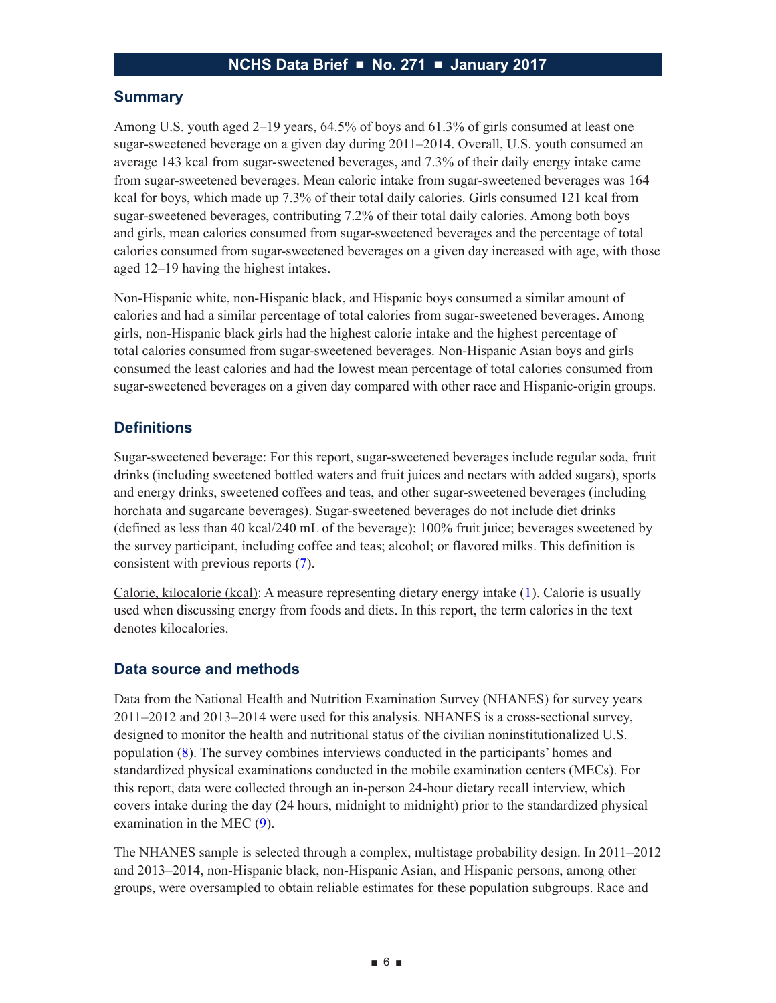## **Summary**

Among U.S. youth aged 2–19 years, 64.5% of boys and 61.3% of girls consumed at least one sugar-sweetened beverage on a given day during 2011–2014. Overall, U.S. youth consumed an average 143 kcal from sugar-sweetened beverages, and 7.3% of their daily energy intake came from sugar-sweetened beverages. Mean caloric intake from sugar-sweetened beverages was 164 kcal for boys, which made up 7.3% of their total daily calories. Girls consumed 121 kcal from sugar-sweetened beverages, contributing 7.2% of their total daily calories. Among both boys and girls, mean calories consumed from sugar-sweetened beverages and the percentage of total calories consumed from sugar-sweetened beverages on a given day increased with age, with those aged 12–19 having the highest intakes.

Non-Hispanic white, non-Hispanic black, and Hispanic boys consumed a similar amount of calories and had a similar percentage of total calories from sugar-sweetened beverages. Among girls, non-Hispanic black girls had the highest calorie intake and the highest percentage of total calories consumed from sugar-sweetened beverages. Non-Hispanic Asian boys and girls consumed the least calories and had the lowest mean percentage of total calories consumed from sugar-sweetened beverages on a given day compared with other race and Hispanic-origin groups.

## **Definitions**

Sugar-sweetened beverage: For this report, sugar-sweetened beverages include regular soda, fruit drinks (including sweetened bottled waters and fruit juices and nectars with added sugars), sports and energy drinks, sweetened coffees and teas, and other sugar-sweetened beverages (including horchata and sugarcane beverages). Sugar-sweetened beverages do not include diet drinks (defined as less than 40 kcal/240 mL of the beverage); 100% fruit juice; beverages sweetened by the survey participant, including coffee and teas; alcohol; or flavored milks. This definition is consistent with previous reports [\(7\)](#page-6-0).

Calorie, kilocalorie (kcal): A measure representing dietary energy intake [\(1\)](#page-6-0). Calorie is usually used when discussing energy from foods and diets. In this report, the term calories in the text denotes kilocalories.

#### **Data source and methods**

Data from the National Health and Nutrition Examination Survey (NHANES) for survey years 2011–2012 and 2013–2014 were used for this analysis. NHANES is a cross-sectional survey, designed to monitor the health and nutritional status of the civilian noninstitutionalized U.S. population [\(8\)](#page-6-0). The survey combines interviews conducted in the participants' homes and standardized physical examinations conducted in the mobile examination centers (MECs). For this report, data were collected through an in-person 24-hour dietary recall interview, which covers intake during the day (24 hours, midnight to midnight) prior to the standardized physical examination in the MEC [\(9\)](#page-7-0).

The NHANES sample is selected through a complex, multistage probability design. In 2011–2012 and 2013–2014, non-Hispanic black, non-Hispanic Asian, and Hispanic persons, among other groups, were oversampled to obtain reliable estimates for these population subgroups. Race and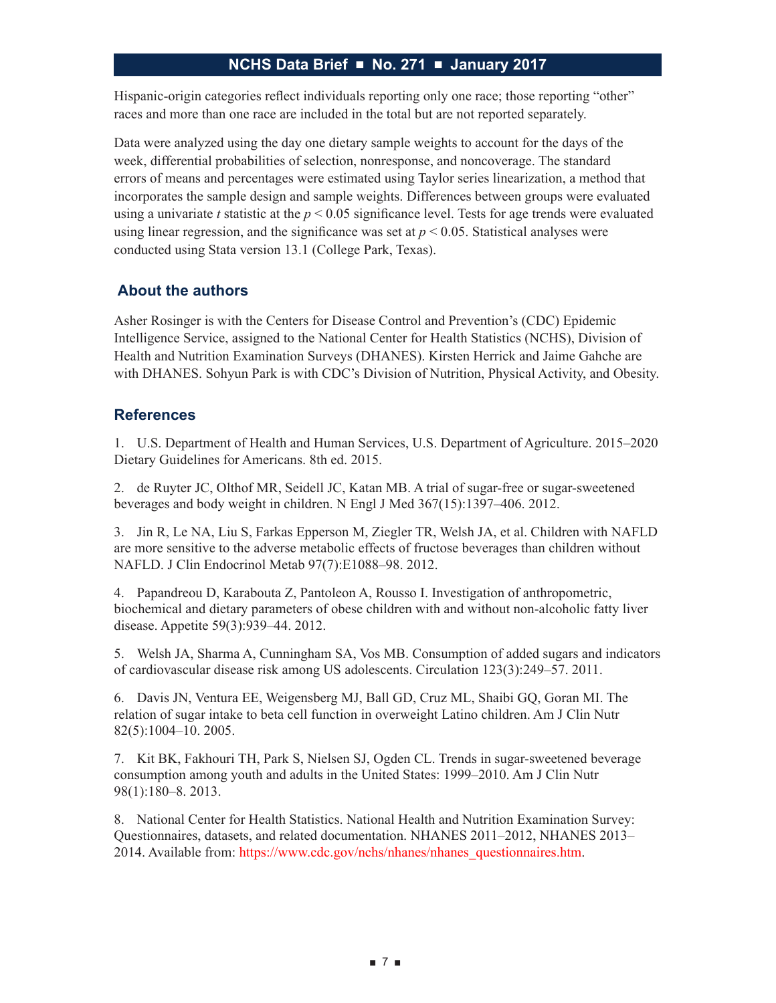<span id="page-6-0"></span>Hispanic-origin categories reflect individuals reporting only one race; those reporting "other" races and more than one race are included in the total but are not reported separately.

Data were analyzed using the day one dietary sample weights to account for the days of the week, differential probabilities of selection, nonresponse, and noncoverage. The standard errors of means and percentages were estimated using Taylor series linearization, a method that incorporates the sample design and sample weights. Differences between groups were evaluated using a univariate *t* statistic at the  $p < 0.05$  significance level. Tests for age trends were evaluated using linear regression, and the significance was set at  $p < 0.05$ . Statistical analyses were conducted using Stata version 13.1 (College Park, Texas).

## **About the authors**

Asher Rosinger is with the Centers for Disease Control and Prevention's (CDC) Epidemic Intelligence Service, assigned to the National Center for Health Statistics (NCHS), Division of Health and Nutrition Examination Surveys (DHANES). Kirsten Herrick and Jaime Gahche are with DHANES. Sohyun Park is with CDC's Division of Nutrition, Physical Activity, and Obesity.

## **References**

1. U.S. Department of Health and Human Services, U.S. Department of Agriculture. 2015–2020 Dietary Guidelines for Americans. 8th ed. 2015.

2. de Ruyter JC, Olthof MR, Seidell JC, Katan MB. A trial of sugar-free or sugar-sweetened beverages and body weight in children. N Engl J Med 367(15):1397–406. 2012.

3. Jin R, Le NA, Liu S, Farkas Epperson M, Ziegler TR, Welsh JA, et al. Children with NAFLD are more sensitive to the adverse metabolic effects of fructose beverages than children without NAFLD. J Clin Endocrinol Metab 97(7):E1088–98. 2012.

4. Papandreou D, Karabouta Z, Pantoleon A, Rousso I. Investigation of anthropometric, biochemical and dietary parameters of obese children with and without non-alcoholic fatty liver disease. Appetite 59(3):939–44. 2012.

5. Welsh JA, Sharma A, Cunningham SA, Vos MB. Consumption of added sugars and indicators of cardiovascular disease risk among US adolescents. Circulation 123(3):249–57. 2011.

6. Davis JN, Ventura EE, Weigensberg MJ, Ball GD, Cruz ML, Shaibi GQ, Goran MI. The relation of sugar intake to beta cell function in overweight Latino children. Am J Clin Nutr 82(5):1004–10. 2005.

7. Kit BK, Fakhouri TH, Park S, Nielsen SJ, Ogden CL. Trends in sugar-sweetened beverage consumption among youth and adults in the United States: 1999–2010. Am J Clin Nutr 98(1):180–8. 2013.

8. National Center for Health Statistics. National Health and Nutrition Examination Survey: Questionnaires, datasets, and related documentation. NHANES 2011–2012, NHANES 2013– 2014. Available from: [https://www.cdc.gov/nchs/nhanes/nhanes\\_questionnaires.htm](http://www.cdc.gov/nchs/nhanes/nhanes_questionnaires.htm).